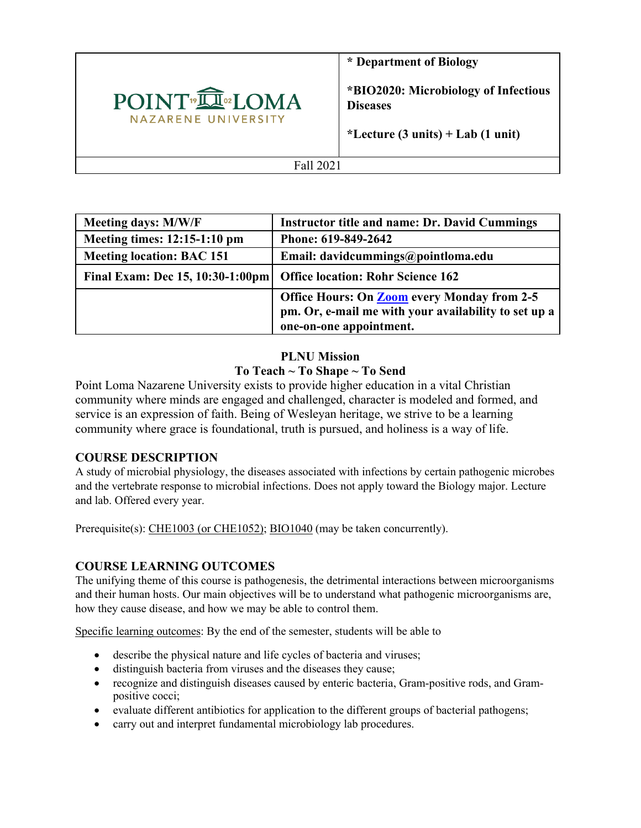

**\* Department of Biology** 

**\*BIO2020: Microbiology of Infectious Diseases** 

**\*Lecture (3 units) + Lab (1 unit)**

Fall 2021

| Meeting days: M/W/F              | <b>Instructor title and name: Dr. David Cummings</b>                                                                                  |
|----------------------------------|---------------------------------------------------------------------------------------------------------------------------------------|
| Meeting times: 12:15-1:10 pm     | Phone: 619-849-2642                                                                                                                   |
| <b>Meeting location: BAC 151</b> | Email: davidcummings@pointloma.edu                                                                                                    |
| Final Exam: Dec 15, 10:30-1:00pm | <b>Office location: Rohr Science 162</b>                                                                                              |
|                                  | <b>Office Hours: On Zoom every Monday from 2-5</b><br>pm. Or, e-mail me with your availability to set up a<br>one-on-one appointment. |

# **PLNU Mission To Teach ~ To Shape ~ To Send**

Point Loma Nazarene University exists to provide higher education in a vital Christian community where minds are engaged and challenged, character is modeled and formed, and service is an expression of faith. Being of Wesleyan heritage, we strive to be a learning community where grace is foundational, truth is pursued, and holiness is a way of life.

# **COURSE DESCRIPTION**

A study of microbial physiology, the diseases associated with infections by certain pathogenic microbes and the vertebrate response to microbial infections. Does not apply toward the Biology major. Lecture and lab. Offered every year.

Prerequisite(s): CHE1003 (or CHE1052); BIO1040 (may be taken concurrently).

# **COURSE LEARNING OUTCOMES**

The unifying theme of this course is pathogenesis, the detrimental interactions between microorganisms and their human hosts. Our main objectives will be to understand what pathogenic microorganisms are, how they cause disease, and how we may be able to control them.

Specific learning outcomes: By the end of the semester, students will be able to

- describe the physical nature and life cycles of bacteria and viruses;
- distinguish bacteria from viruses and the diseases they cause;
- recognize and distinguish diseases caused by enteric bacteria, Gram-positive rods, and Grampositive cocci;
- evaluate different antibiotics for application to the different groups of bacterial pathogens;
- carry out and interpret fundamental microbiology lab procedures.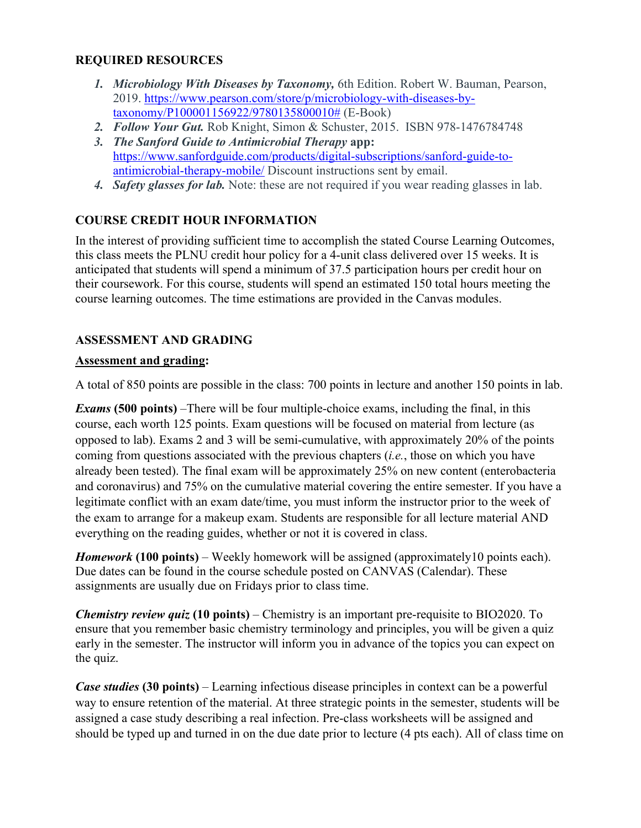## **REQUIRED RESOURCES**

- *1. Microbiology With Diseases by Taxonomy,* 6th Edition. Robert W. Bauman, Pearson, 2019. https://www.pearson.com/store/p/microbiology-with-diseases-bytaxonomy/P100001156922/9780135800010# (E-Book)
- *2. Follow Your Gut.* Rob Knight, Simon & Schuster, 2015. ISBN 978-1476784748
- *3. The Sanford Guide to Antimicrobial Therapy* **app:** https://www.sanfordguide.com/products/digital-subscriptions/sanford-guide-toantimicrobial-therapy-mobile/ Discount instructions sent by email.
- *4. Safety glasses for lab.* Note: these are not required if you wear reading glasses in lab.

# **COURSE CREDIT HOUR INFORMATION**

In the interest of providing sufficient time to accomplish the stated Course Learning Outcomes, this class meets the PLNU credit hour policy for a 4-unit class delivered over 15 weeks. It is anticipated that students will spend a minimum of 37.5 participation hours per credit hour on their coursework. For this course, students will spend an estimated 150 total hours meeting the course learning outcomes. The time estimations are provided in the Canvas modules.

## **ASSESSMENT AND GRADING**

#### **Assessment and grading:**

A total of 850 points are possible in the class: 700 points in lecture and another 150 points in lab.

*Exams* **(500 points)** –There will be four multiple-choice exams, including the final, in this course, each worth 125 points. Exam questions will be focused on material from lecture (as opposed to lab). Exams 2 and 3 will be semi-cumulative, with approximately 20% of the points coming from questions associated with the previous chapters (*i.e.*, those on which you have already been tested). The final exam will be approximately 25% on new content (enterobacteria and coronavirus) and 75% on the cumulative material covering the entire semester. If you have a legitimate conflict with an exam date/time, you must inform the instructor prior to the week of the exam to arrange for a makeup exam. Students are responsible for all lecture material AND everything on the reading guides, whether or not it is covered in class.

*Homework* **(100 points)** – Weekly homework will be assigned (approximately10 points each). Due dates can be found in the course schedule posted on CANVAS (Calendar). These assignments are usually due on Fridays prior to class time.

*Chemistry review quiz* **(10 points)** – Chemistry is an important pre-requisite to BIO2020. To ensure that you remember basic chemistry terminology and principles, you will be given a quiz early in the semester. The instructor will inform you in advance of the topics you can expect on the quiz.

*Case studies* **(30 points)** – Learning infectious disease principles in context can be a powerful way to ensure retention of the material. At three strategic points in the semester, students will be assigned a case study describing a real infection. Pre-class worksheets will be assigned and should be typed up and turned in on the due date prior to lecture (4 pts each). All of class time on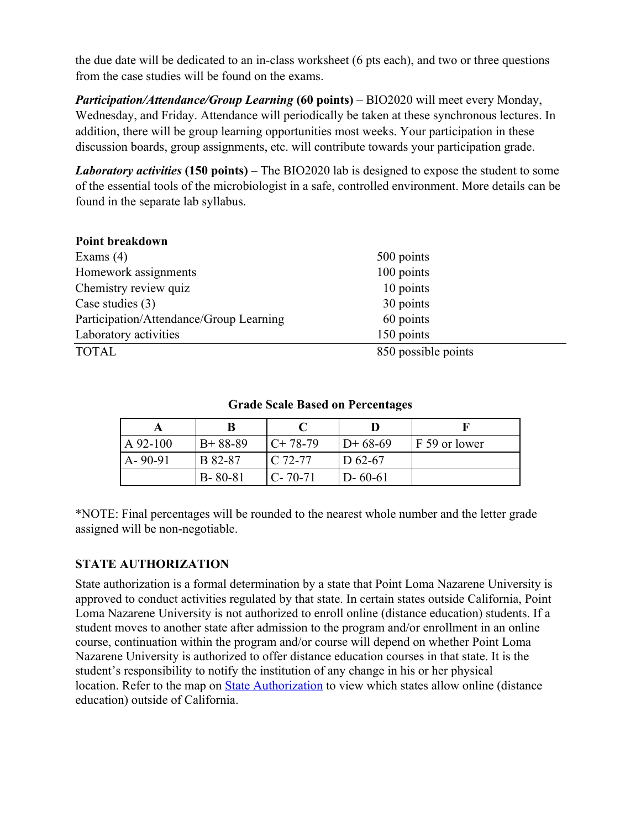the due date will be dedicated to an in-class worksheet (6 pts each), and two or three questions from the case studies will be found on the exams.

*Participation/Attendance/Group Learning* **(60 points)** – BIO2020 will meet every Monday, Wednesday, and Friday. Attendance will periodically be taken at these synchronous lectures. In addition, there will be group learning opportunities most weeks. Your participation in these discussion boards, group assignments, etc. will contribute towards your participation grade.

*Laboratory activities* **(150 points)** – The BIO2020 lab is designed to expose the student to some of the essential tools of the microbiologist in a safe, controlled environment. More details can be found in the separate lab syllabus.

| 500 points          |  |
|---------------------|--|
| 100 points          |  |
| 10 points           |  |
| 30 points           |  |
| 60 points           |  |
| 150 points          |  |
| 850 possible points |  |
|                     |  |

| $A$ 92-100    | $B+88-89$      | $C+78-79$            | $D+68-69$     | F 59 or lower |  |
|---------------|----------------|----------------------|---------------|---------------|--|
| $A - 90 - 91$ | <b>B</b> 82-87 | $\overline{C}$ 72-77 | $D_{62-67}$   |               |  |
|               | $B - 80 - 81$  | $C - 70 - 71$        | $D - 60 - 61$ |               |  |

## **Grade Scale Based on Percentages**

\*NOTE: Final percentages will be rounded to the nearest whole number and the letter grade assigned will be non-negotiable.

# **STATE AUTHORIZATION**

State authorization is a formal determination by a state that Point Loma Nazarene University is approved to conduct activities regulated by that state. In certain states outside California, Point Loma Nazarene University is not authorized to enroll online (distance education) students. If a student moves to another state after admission to the program and/or enrollment in an online course, continuation within the program and/or course will depend on whether Point Loma Nazarene University is authorized to offer distance education courses in that state. It is the student's responsibility to notify the institution of any change in his or her physical location. Refer to the map on State Authorization to view which states allow online (distance education) outside of California.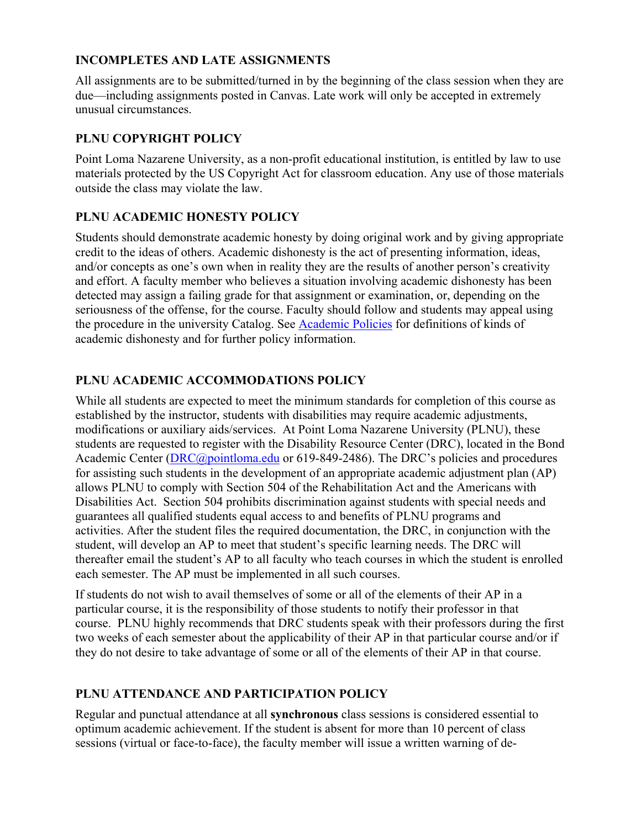## **INCOMPLETES AND LATE ASSIGNMENTS**

All assignments are to be submitted/turned in by the beginning of the class session when they are due—including assignments posted in Canvas. Late work will only be accepted in extremely unusual circumstances.

# **PLNU COPYRIGHT POLICY**

Point Loma Nazarene University, as a non-profit educational institution, is entitled by law to use materials protected by the US Copyright Act for classroom education. Any use of those materials outside the class may violate the law.

## **PLNU ACADEMIC HONESTY POLICY**

Students should demonstrate academic honesty by doing original work and by giving appropriate credit to the ideas of others. Academic dishonesty is the act of presenting information, ideas, and/or concepts as one's own when in reality they are the results of another person's creativity and effort. A faculty member who believes a situation involving academic dishonesty has been detected may assign a failing grade for that assignment or examination, or, depending on the seriousness of the offense, for the course. Faculty should follow and students may appeal using the procedure in the university Catalog. See Academic Policies for definitions of kinds of academic dishonesty and for further policy information.

## **PLNU ACADEMIC ACCOMMODATIONS POLICY**

While all students are expected to meet the minimum standards for completion of this course as established by the instructor, students with disabilities may require academic adjustments, modifications or auxiliary aids/services. At Point Loma Nazarene University (PLNU), these students are requested to register with the Disability Resource Center (DRC), located in the Bond Academic Center (*DRC@pointloma.edu* or 619-849-2486). The DRC's policies and procedures for assisting such students in the development of an appropriate academic adjustment plan (AP) allows PLNU to comply with Section 504 of the Rehabilitation Act and the Americans with Disabilities Act. Section 504 prohibits discrimination against students with special needs and guarantees all qualified students equal access to and benefits of PLNU programs and activities. After the student files the required documentation, the DRC, in conjunction with the student, will develop an AP to meet that student's specific learning needs. The DRC will thereafter email the student's AP to all faculty who teach courses in which the student is enrolled each semester. The AP must be implemented in all such courses.

If students do not wish to avail themselves of some or all of the elements of their AP in a particular course, it is the responsibility of those students to notify their professor in that course. PLNU highly recommends that DRC students speak with their professors during the first two weeks of each semester about the applicability of their AP in that particular course and/or if they do not desire to take advantage of some or all of the elements of their AP in that course.

#### **PLNU ATTENDANCE AND PARTICIPATION POLICY**

Regular and punctual attendance at all **synchronous** class sessions is considered essential to optimum academic achievement. If the student is absent for more than 10 percent of class sessions (virtual or face-to-face), the faculty member will issue a written warning of de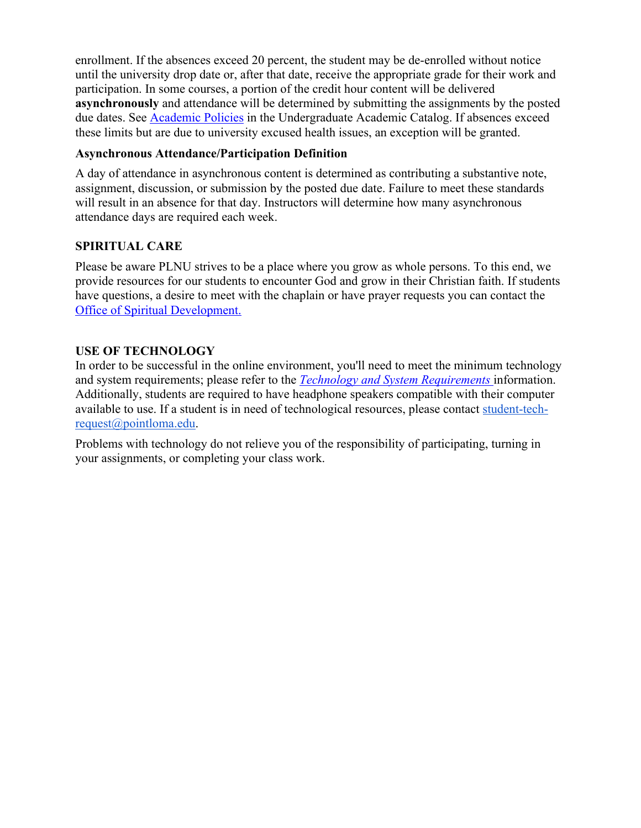enrollment. If the absences exceed 20 percent, the student may be de-enrolled without notice until the university drop date or, after that date, receive the appropriate grade for their work and participation. In some courses, a portion of the credit hour content will be delivered **asynchronously** and attendance will be determined by submitting the assignments by the posted due dates. See Academic Policies in the Undergraduate Academic Catalog. If absences exceed these limits but are due to university excused health issues, an exception will be granted.

#### **Asynchronous Attendance/Participation Definition**

A day of attendance in asynchronous content is determined as contributing a substantive note, assignment, discussion, or submission by the posted due date. Failure to meet these standards will result in an absence for that day. Instructors will determine how many asynchronous attendance days are required each week.

#### **SPIRITUAL CARE**

Please be aware PLNU strives to be a place where you grow as whole persons. To this end, we provide resources for our students to encounter God and grow in their Christian faith. If students have questions, a desire to meet with the chaplain or have prayer requests you can contact the Office of Spiritual Development.

#### **USE OF TECHNOLOGY**

In order to be successful in the online environment, you'll need to meet the minimum technology and system requirements; please refer to the *Technology and System Requirements* information. Additionally, students are required to have headphone speakers compatible with their computer available to use. If a student is in need of technological resources, please contact student-techrequest@pointloma.edu.

Problems with technology do not relieve you of the responsibility of participating, turning in your assignments, or completing your class work.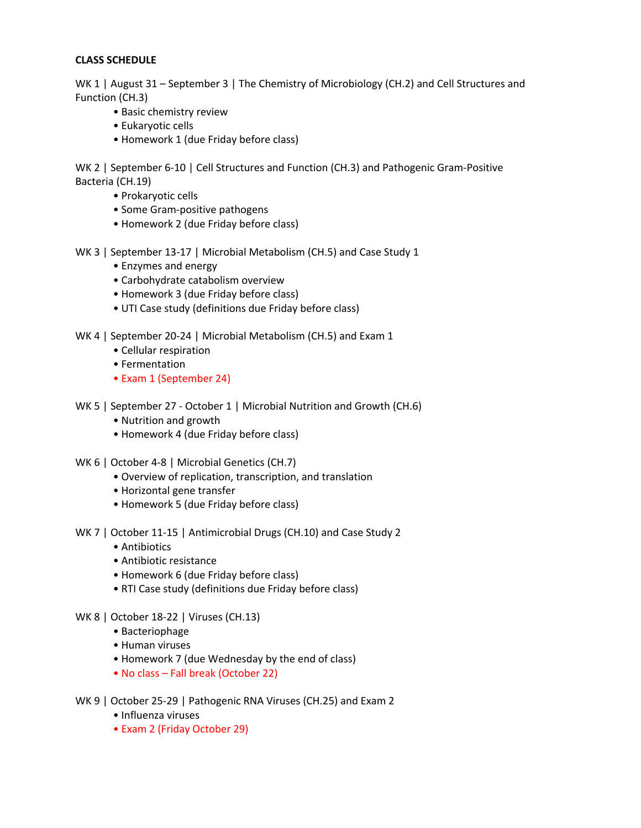#### **CLASS SCHEDULE**

WK 1 | August 31 – September 3 | The Chemistry of Microbiology (CH.2) and Cell Structures and Function (CH.3)

- Basic chemistry review
- Eukaryotic cells
- Homework 1 (due Friday before class)

WK 2 | September 6-10 | Cell Structures and Function (CH.3) and Pathogenic Gram-Positive Bacteria (CH.19)

- Prokaryotic cells
- Some Gram-positive pathogens
- Homework 2 (due Friday before class)

WK 3 | September 13-17 | Microbial Metabolism (CH.5) and Case Study 1

- Enzymes and energy
- Carbohydrate catabolism overview
- Homework 3 (due Friday before class)
- UTI Case study (definitions due Friday before class)

WK 4 | September 20-24 | Microbial Metabolism (CH.5) and Exam 1

- Cellular respiration
- Fermentation
- Exam 1 (September 24)
- WK 5 | September 27 October 1 | Microbial Nutrition and Growth (CH.6)
	- Nutrition and growth
	- Homework 4 (due Friday before class)
- WK 6 | October 4-8 | Microbial Genetics (CH.7)
	- Overview of replication, transcription, and translation
	- Horizontal gene transfer
	- Homework 5 (due Friday before class)
- WK 7 | October 11-15 | Antimicrobial Drugs (CH.10) and Case Study 2
	- Antibiotics
	- Antibiotic resistance
	- Homework 6 (due Friday before class)
	- RTI Case study (definitions due Friday before class)
- WK 8 | October 18-22 | Viruses (CH.13)
	- Bacteriophage
	- Human viruses
	- Homework 7 (due Wednesday by the end of class)
	- No class Fall break (October 22)
- WK 9 | October 25-29 | Pathogenic RNA Viruses (CH.25) and Exam 2
	- Influenza viruses
	- Exam 2 (Friday October 29)